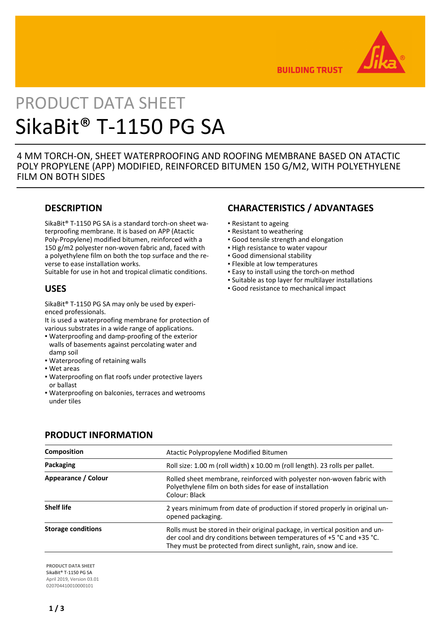

**BUILDING TRUST** 

# PRODUCT DATA SHEET SikaBit® T-1150 PG SA

4 MM TORCH-ON, SHEET WATERPROOFING AND ROOFING MEMBRANE BASED ON ATACTIC POLY PROPYLENE (APP) MODIFIED, REINFORCED BITUMEN 150 G/M2, WITH POLYETHYLENE FILM ON BOTH SIDES

# **DESCRIPTION**

SikaBit® T-1150 PG SA is a standard torch-on sheet waterproofing membrane. It is based on APP (Atactic Poly-Propylene) modified bitumen, reinforced with a 150 g/m2 polyester non-woven fabric and, faced with a polyethylene film on both the top surface and the reverse to ease installation works.

Suitable for use in hot and tropical climatic conditions.

## **USES**

SikaBit® T-1150 PG SA may only be used by experienced professionals.

It is used a waterproofing membrane for protection of various substrates in a wide range of applications.

- Waterproofing and damp-proofing of the exterior walls of basements against percolating water and damp soil
- Waterproofing of retaining walls
- Wet areas
- Waterproofing on flat roofs under protective layers or ballast
- Waterproofing on balconies, terraces and wetrooms under tiles

# **CHARACTERISTICS / ADVANTAGES**

- Resistant to ageing
- **Resistant to weathering**
- Good tensile strength and elongation
- **.** High resistance to water vapour
- Good dimensional stability
- Flexible at low temperatures
- **Easy to install using the torch-on method**
- Suitable as top layer for multilayer installations
- Good resistance to mechanical impact

| <b>Composition</b>        | Atactic Polypropylene Modified Bitumen                                                                                                                                                                                    |  |
|---------------------------|---------------------------------------------------------------------------------------------------------------------------------------------------------------------------------------------------------------------------|--|
| Packaging                 | Roll size: 1.00 m (roll width) x 10.00 m (roll length). 23 rolls per pallet.                                                                                                                                              |  |
| Appearance / Colour       | Rolled sheet membrane, reinforced with polyester non-woven fabric with<br>Polyethylene film on both sides for ease of installation<br>Colour: Black                                                                       |  |
| <b>Shelf life</b>         | 2 years minimum from date of production if stored properly in original un-<br>opened packaging.                                                                                                                           |  |
| <b>Storage conditions</b> | Rolls must be stored in their original package, in vertical position and un-<br>der cool and dry conditions between temperatures of +5 °C and +35 °C.<br>They must be protected from direct sunlight, rain, snow and ice. |  |

## **PRODUCT INFORMATION**

**PRODUCT DATA SHEET** SikaBit® T-1150 PG SA April 2019, Version 03.01 020704410010000101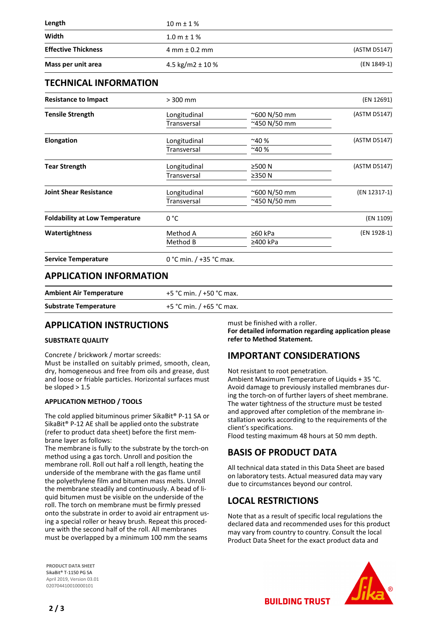| Length                     | $10 m \pm 1 \%$                   |              |
|----------------------------|-----------------------------------|--------------|
| Width                      | $1.0 m \pm 1 \%$                  |              |
| <b>Effective Thickness</b> | $4 \text{ mm} \pm 0.2 \text{ mm}$ | (ASTM D5147) |
| Mass per unit area         | 4.5 kg/m2 $\pm$ 10 %              | (EN 1849-1)  |

## **TECHNICAL INFORMATION**

| (EN 12691)                |                      | $> 300$ mm         | <b>Resistance to Impact</b>           |
|---------------------------|----------------------|--------------------|---------------------------------------|
| (ASTM D5147)              | $^{\sim}600$ N/50 mm | Longitudinal       | <b>Tensile Strength</b>               |
|                           | ~450 N/50 mm         | Transversal        |                                       |
| (ASTM D5147)              | $~10\%$              | Longitudinal       | <b>Elongation</b>                     |
|                           | $~10\%$              | <b>Transversal</b> |                                       |
| (ASTM D5147)              | ≥500 N               | Longitudinal       | <b>Tear Strength</b>                  |
|                           | ≥350 N               | Transversal        |                                       |
| (EN 12317-1)              | ~600 N/50 mm         | Longitudinal       | <b>Joint Shear Resistance</b>         |
|                           | ~450 N/50 mm         | Transversal        |                                       |
| (EN 1109)                 |                      | 0 °C               | <b>Foldability at Low Temperature</b> |
| (EN 1928-1)               | ≥60 kPa              | Method A           | <b>Watertightness</b>                 |
|                           | ≥400 kPa             | Method B           |                                       |
| 0 °C min. $/$ +35 °C max. |                      |                    | <b>Service Temperature</b>            |

### **APPLICATION INFORMATION**

| <b>Ambient Air Temperature</b> | +5 °C min. / +50 °C max. |
|--------------------------------|--------------------------|
| <b>Substrate Temperature</b>   | +5 °C min. / +65 °C max. |

# **APPLICATION INSTRUCTIONS**

#### **SUBSTRATE QUALITY**

Concrete / brickwork / mortar screeds:

Must be installed on suitably primed, smooth, clean, dry, homogeneous and free from oils and grease, dust and loose or friable particles. Horizontal surfaces must be sloped  $> 1.5$ 

#### **APPLICATION METHOD / TOOLS**

The cold applied bituminous primer SikaBit® P-11 SA or SikaBit® P-12 AE shall be applied onto the substrate (refer to product data sheet) before the first membrane layer as follows:

The membrane is fully to the substrate by the torch-on method using a gas torch. Unroll and position the membrane roll. Roll out half a roll length, heating the underside of the membrane with the gas flame until the polyethylene film and bitumen mass melts. Unroll the membrane steadily and continuously. A bead of liquid bitumen must be visible on the underside of the roll. The torch on membrane must be firmly pressed onto the substrate in order to avoid air entrapment using a special roller or heavy brush. Repeat this procedure with the second half of the roll. All membranes must be overlapped by a minimum 100 mm the seams

must be finished with a roller.

**For detailed information regarding application please refer to Method Statement.**

# **IMPORTANT CONSIDERATIONS**

Not resistant to root penetration.

Ambient Maximum Temperature of Liquids + 35 °C. Avoid damage to previously installed membranes during the torch-on of further layers of sheet membrane. The water tightness of the structure must be tested and approved after completion of the membrane installation works according to the requirements of the client's specifications.

Flood testing maximum 48 hours at 50 mm depth.

# **BASIS OF PRODUCT DATA**

All technical data stated in this Data Sheet are based on laboratory tests. Actual measured data may vary due to circumstances beyond our control.

# **LOCAL RESTRICTIONS**

Note that as a result of specific local regulations the declared data and recommended uses for this product may vary from country to country. Consult the local Product Data Sheet for the exact product data and

**BUILDING TRUST** 

**PRODUCT DATA SHEET** SikaBit® T-1150 PG SA April 2019, Version 03.01 020704410010000101